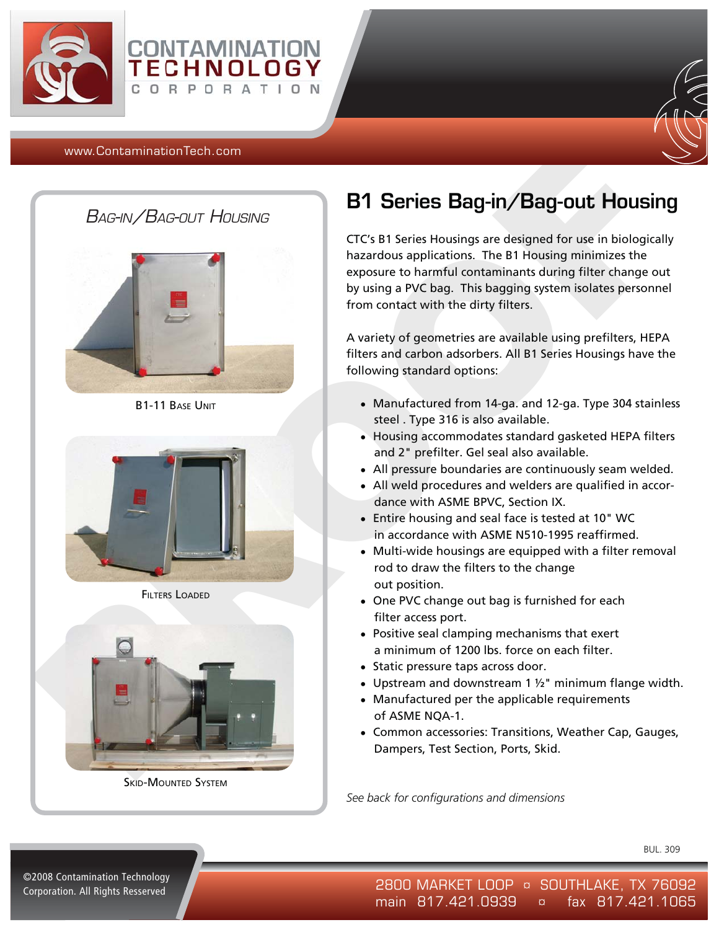





## www.ContaminationTech.com

## *BAG-IN/BAG-OUT HOUSING*



B1-11 BASE UNIT



FILTERS LOADED



SKID-MOUNTED SYSTEM

## **B1 Series Bag-in/Bag-out Housing**

CTC's B1 Series Housings are designed for use in biologically hazardous applications. The B1 Housing minimizes the exposure to harmful contaminants during filter change out by using a PVC bag. This bagging system isolates personnel from contact with the dirty filters.

A variety of geometries are available using prefilters, HEPA filters and carbon adsorbers. All B1 Series Housings have the following standard options:

- Manufactured from 14-ga. and 12-ga. Type 304 stainless steel . Type 316 is also available.
- Housing accommodates standard gasketed HEPA filters and 2" prefilter. Gel seal also available.
- All pressure boundaries are continuously seam welded.
- All weld procedures and welders are qualified in accordance with ASME BPVC, Section IX.
- Entire housing and seal face is tested at 10" WC in accordance with ASME N510-1995 reaffirmed.
- Multi-wide housings are equipped with a filter removal rod to draw the filters to the change out position.
- One PVC change out bag is furnished for each filter access port.
- Positive seal clamping mechanisms that exert a minimum of 1200 lbs. force on each filter.
- Static pressure taps across door.
- Upstream and downstream 1 ½" minimum flange width.
- Manufactured per the applicable requirements of ASME NQA-1.
- Common accessories: Transitions, Weather Cap, Gauges, Dampers, Test Section, Ports, Skid.

*See back for configurations and dimensions*

2800 MARKET LOOP ¤ SOUTHLAKE, TX 76092 main 817.421.0939 ¤ fax 817.421.1065